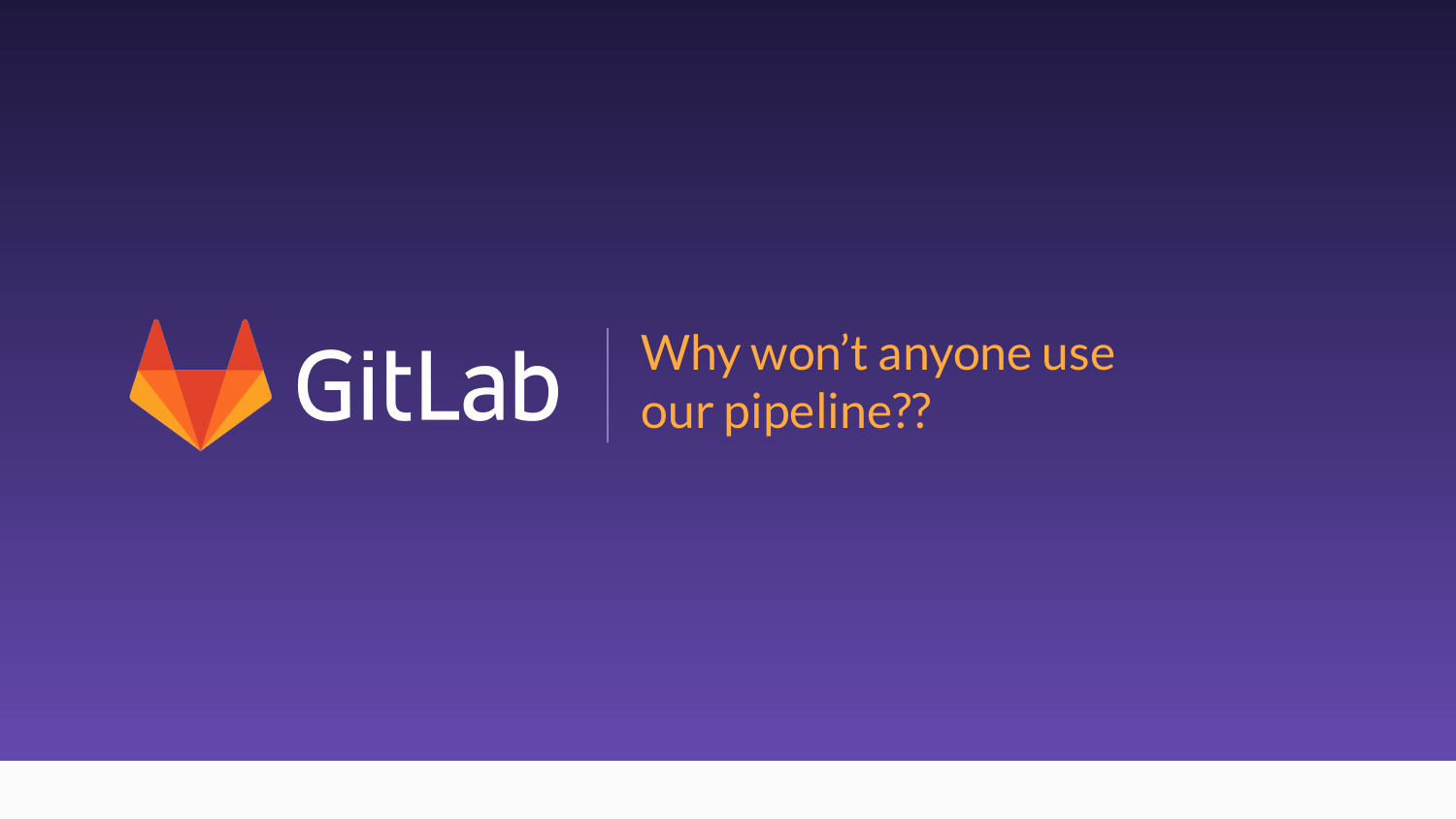

Why won't anyone use our pipeline??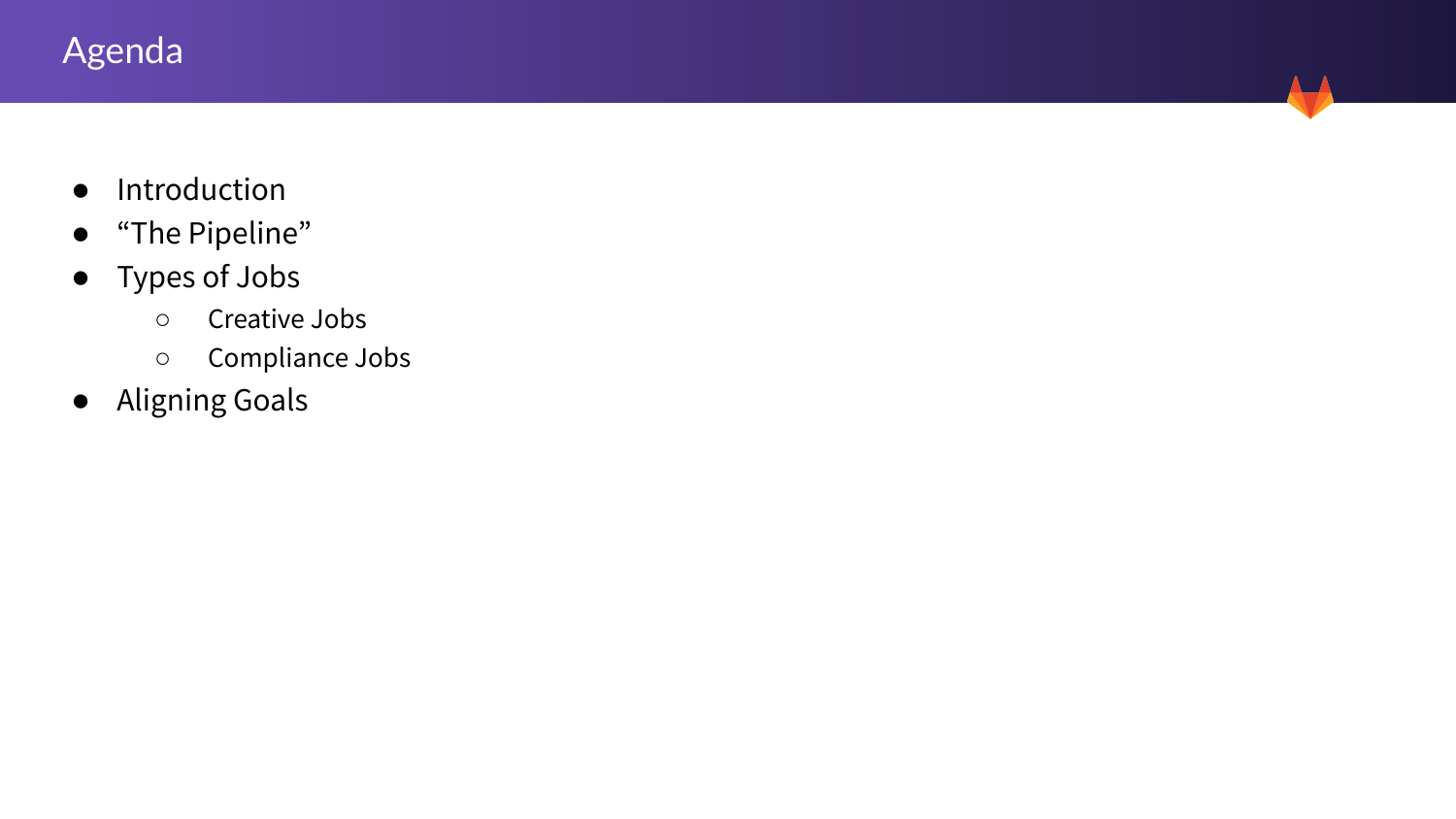# Agenda

- Introduction
- "The Pipeline"
- Types of Jobs
	- Creative Jobs
	- Compliance Jobs
- Aligning Goals

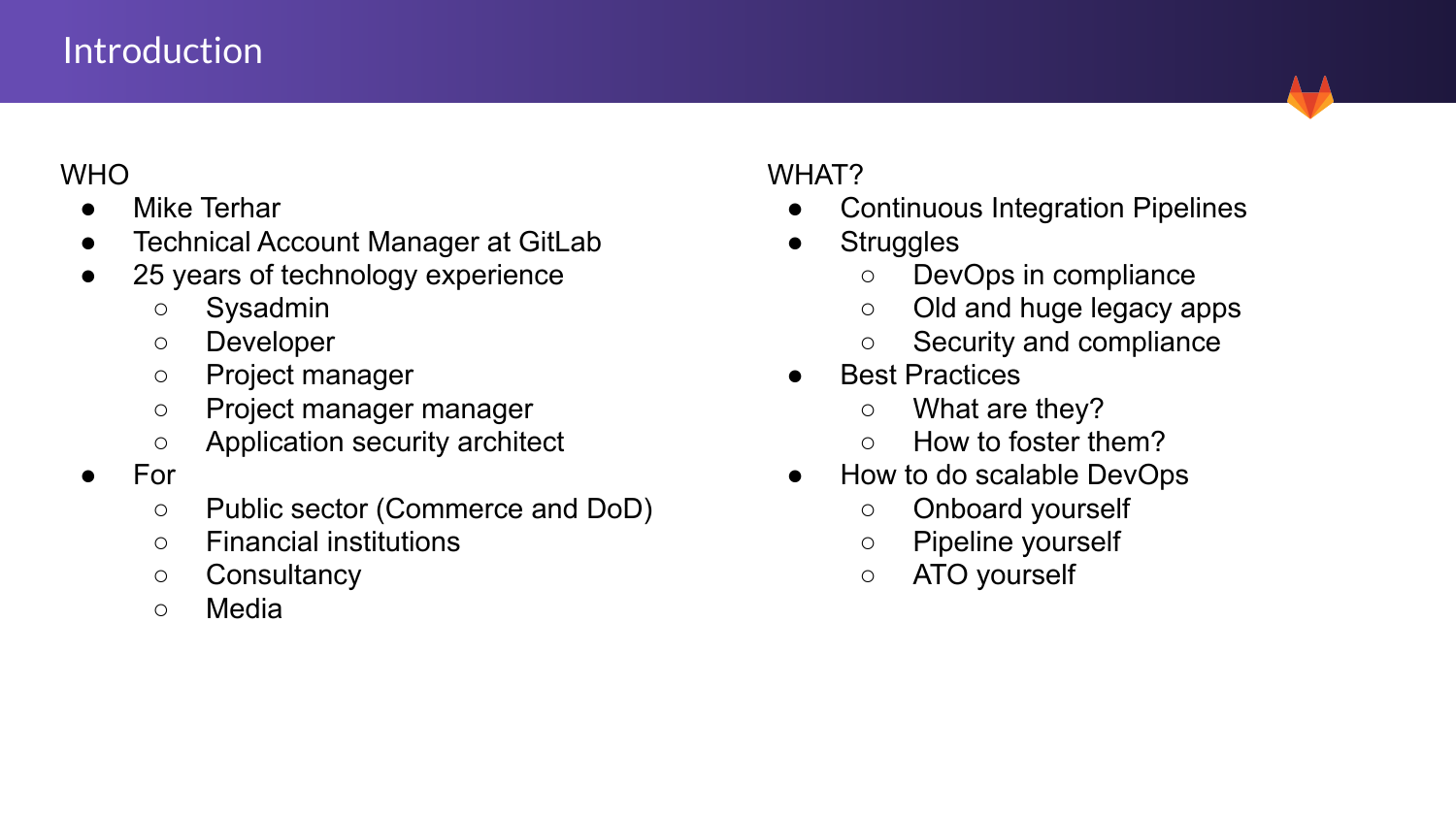#### Introduction

#### WHO

- Mike Terhar
- **Technical Account Manager at GitLab**
- 25 years of technology experience
	- Sysadmin
	- Developer
	- Project manager
	- Project manager manager
	- Application security architect
- For
	- Public sector (Commerce and DoD)
	- Financial institutions
	- Consultancy
	- Media

#### WHAT?

- Continuous Integration Pipelines
- **Struggles** 
	- DevOps in compliance
	- Old and huge legacy apps
	- Security and compliance
- **Best Practices** 
	- What are they?
	- How to foster them?
- How to do scalable DevOps
	- Onboard yourself
	- Pipeline yourself
	- ATO yourself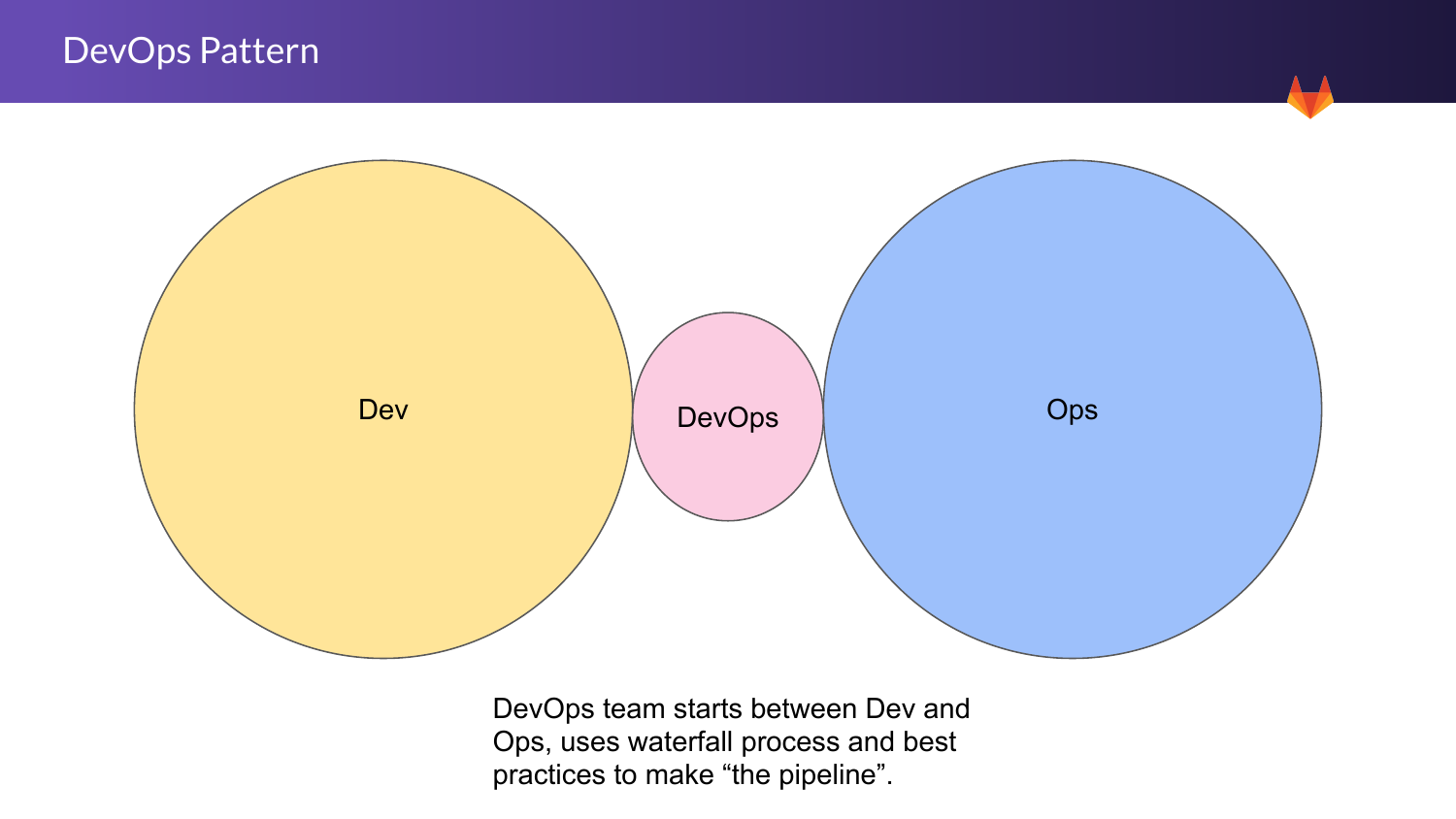

DevOps team starts between Dev and Ops, uses waterfall process and best practices to make "the pipeline".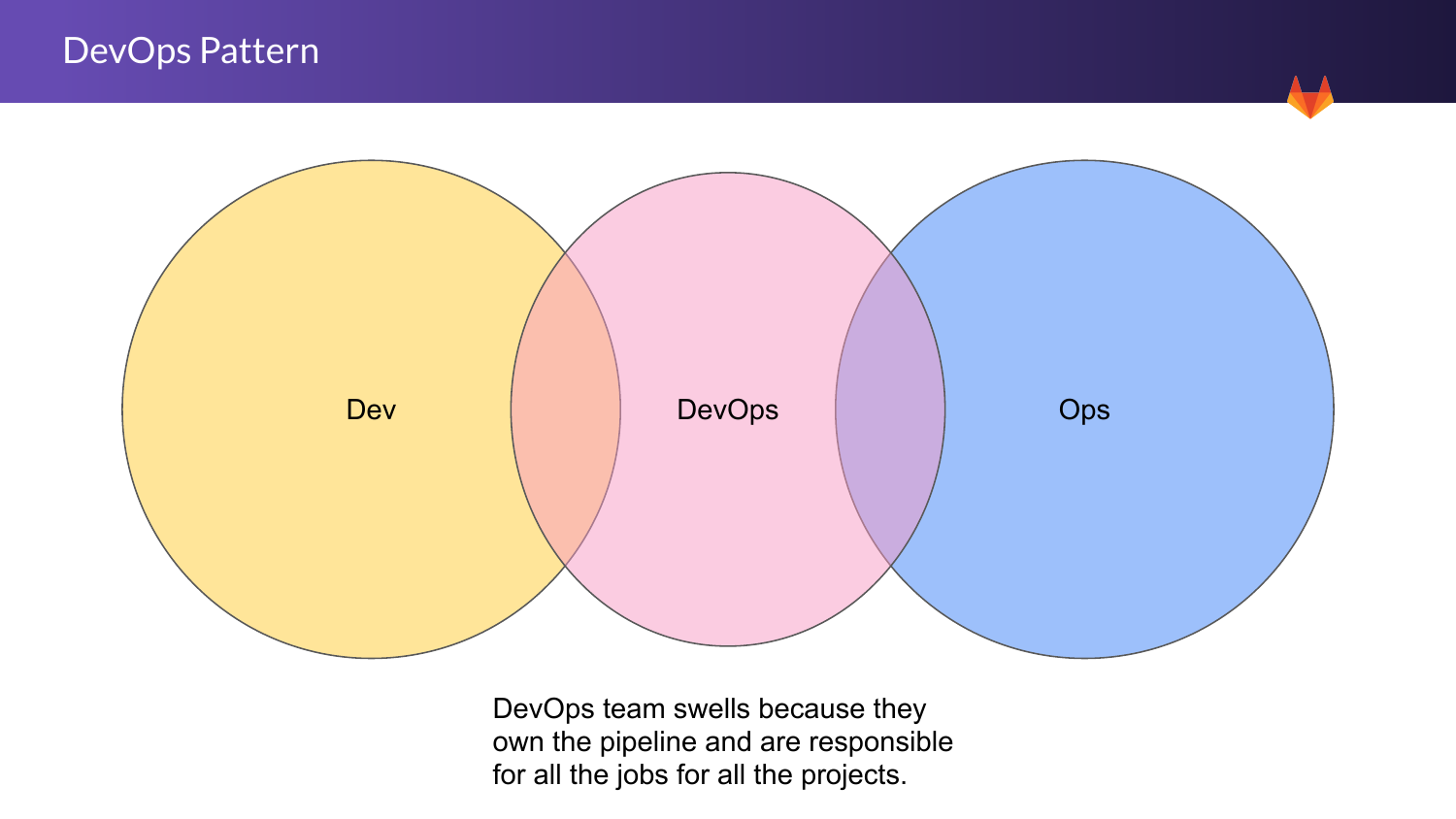

DevOps team swells because they own the pipeline and are responsible for all the jobs for all the projects.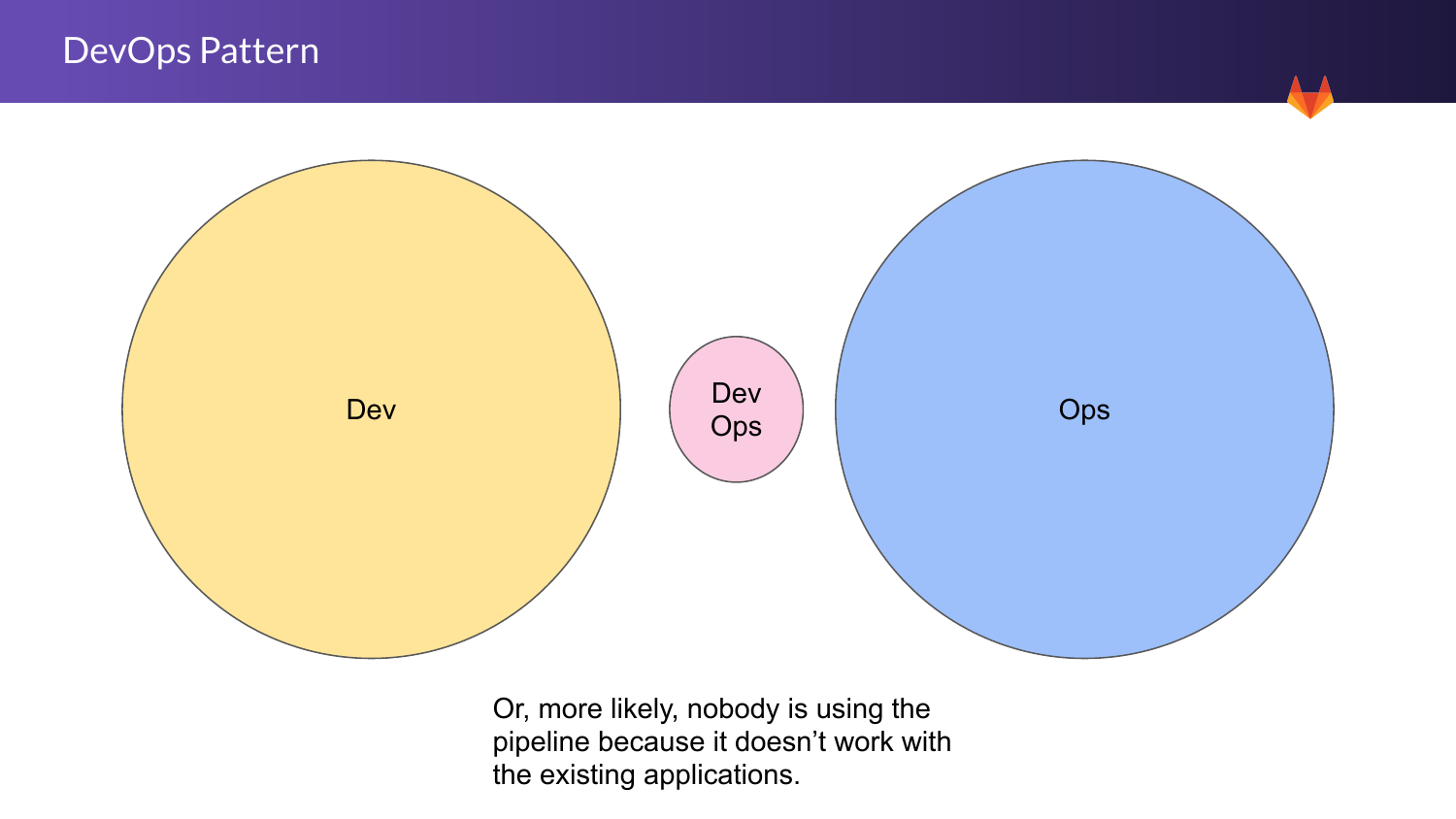

Or, more likely, nobody is using the pipeline because it doesn't work with the existing applications.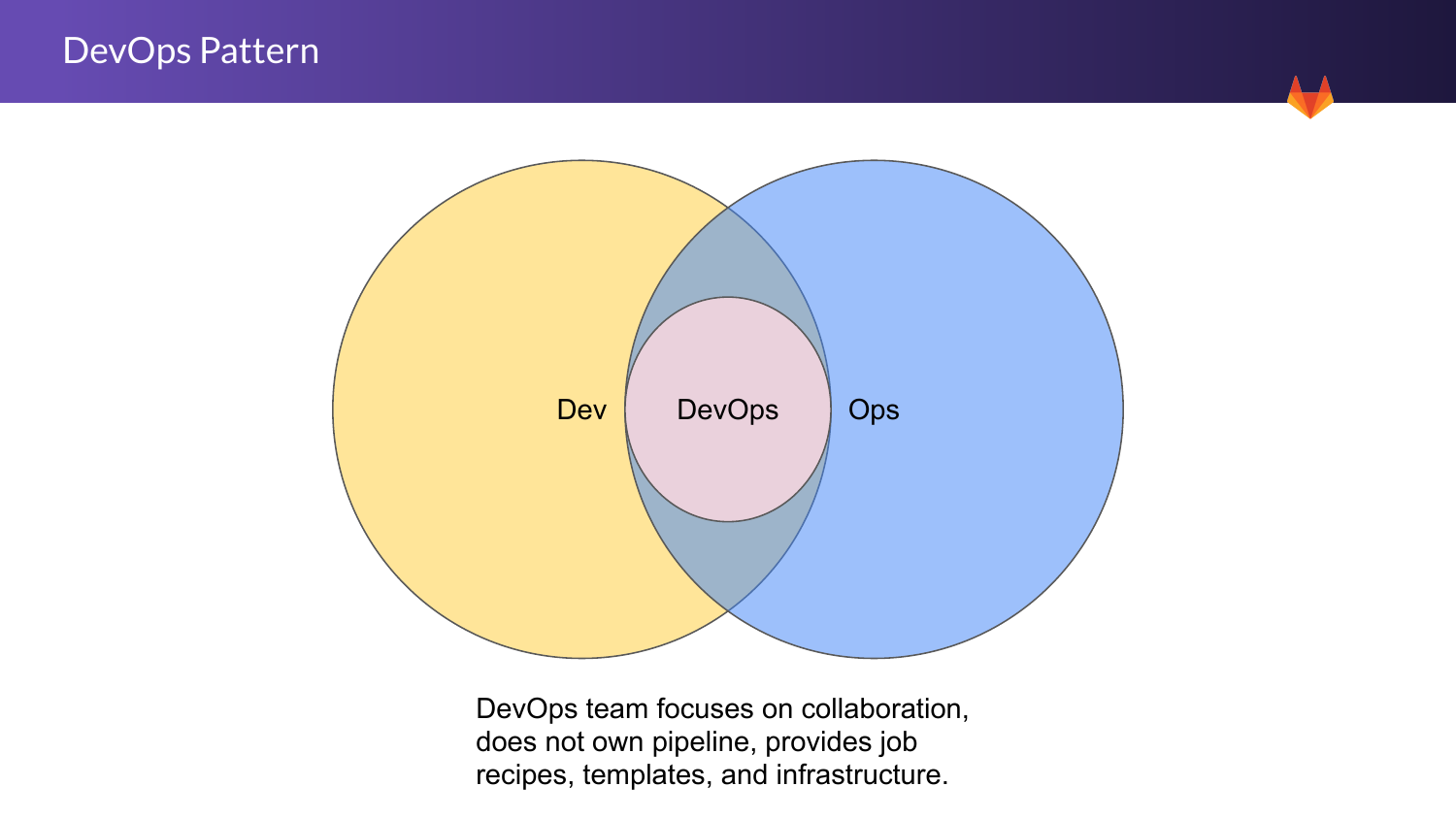



DevOps team focuses on collaboration, does not own pipeline, provides job recipes, templates, and infrastructure.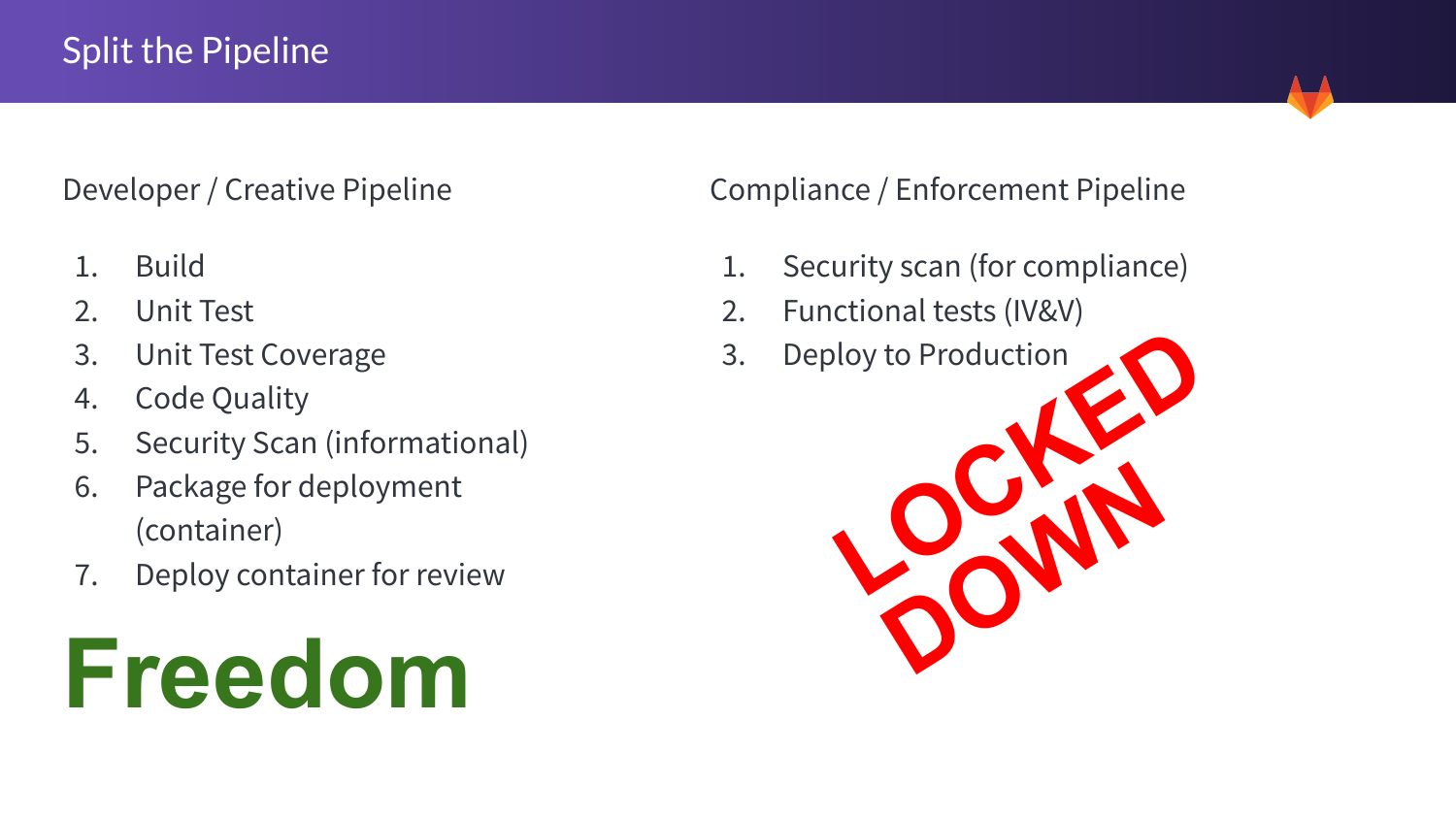Developer / Creative Pipeline

- 1. Build
- 2. Unit Test
- 3. Unit Test Coverage
- 4. Code Quality
- 5. Security Scan (informational)
- 6. Package for deployment (container)
- 7. Deploy container for review



Compliance / Enforcement Pipeline

- 1. Security scan (for compliance)
- 2. Functional tests (IV&V)
- 

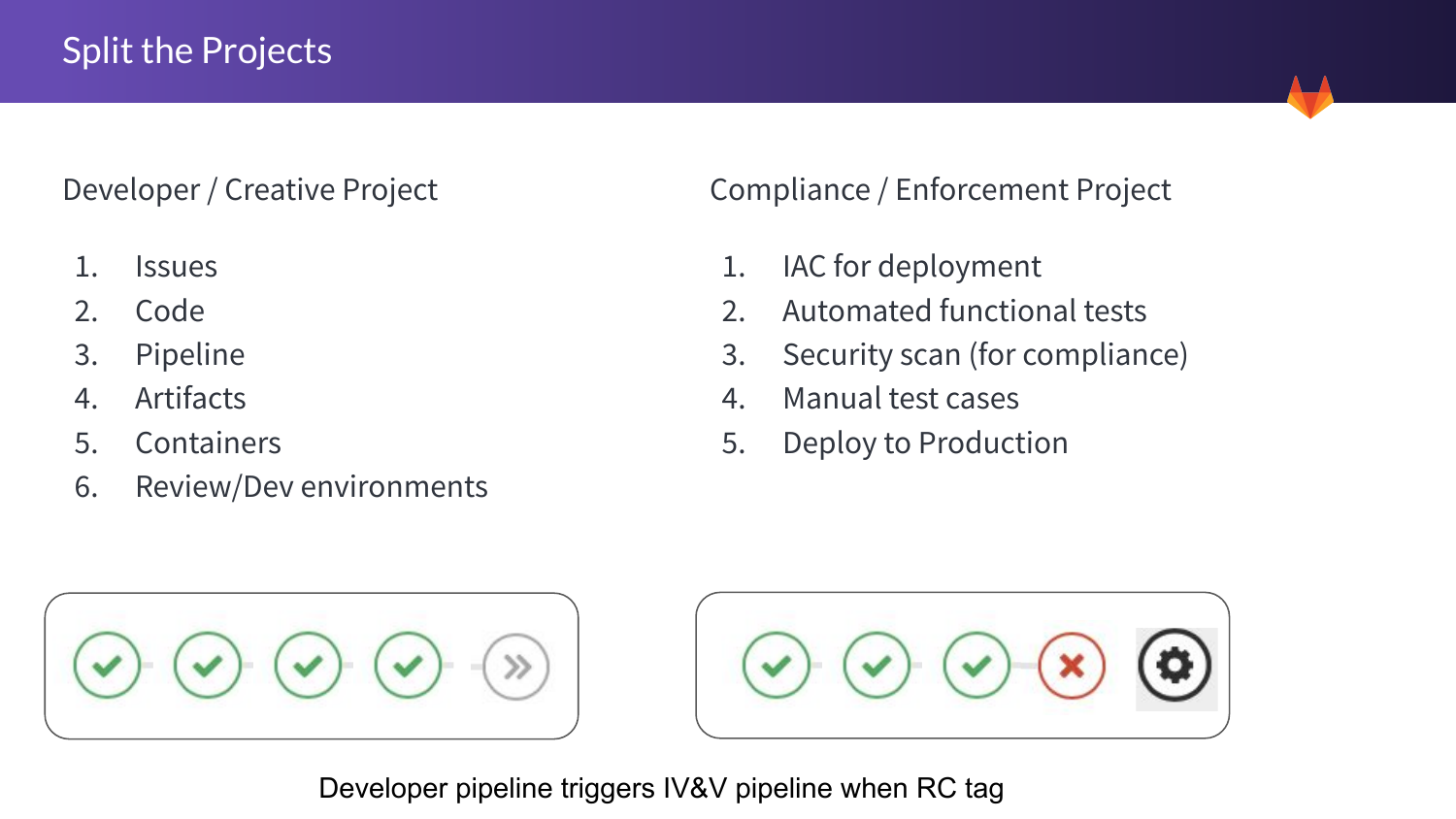Developer / Creative Project

- 1. Issues
- 2. Code
- 3. Pipeline
- 4. Artifacts
- 5. Containers
- 6. Review/Dev environments

Compliance / Enforcement Project

- 1. IAC for deployment
- 2. Automated functional tests
- 3. Security scan (for compliance)
- 4. Manual test cases
- 5. Deploy to Production





Developer pipeline triggers IV&V pipeline when RC tag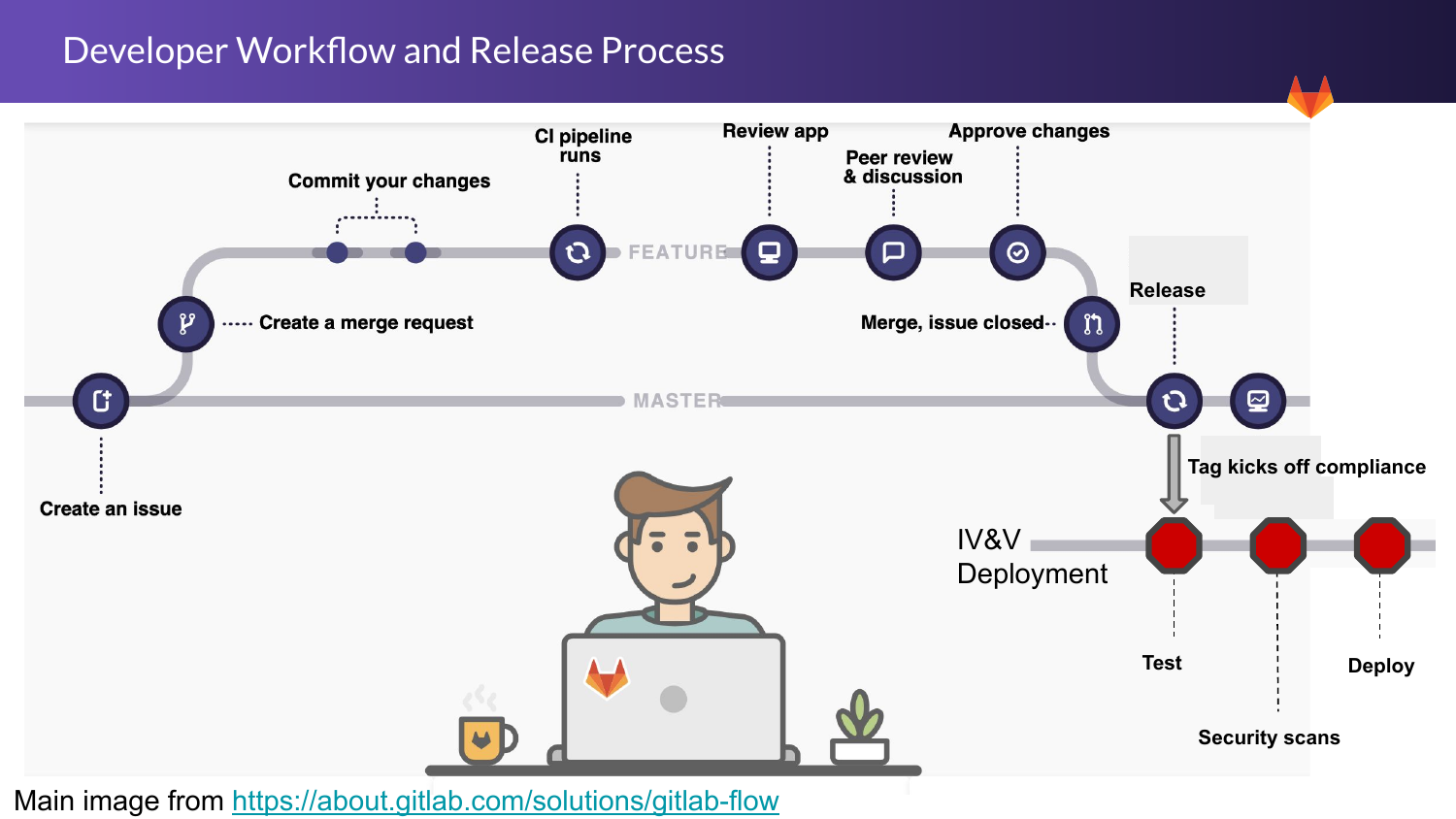#### Developer Workflow and Release Process



Main image from <https://about.gitlab.com/solutions/gitlab-flow>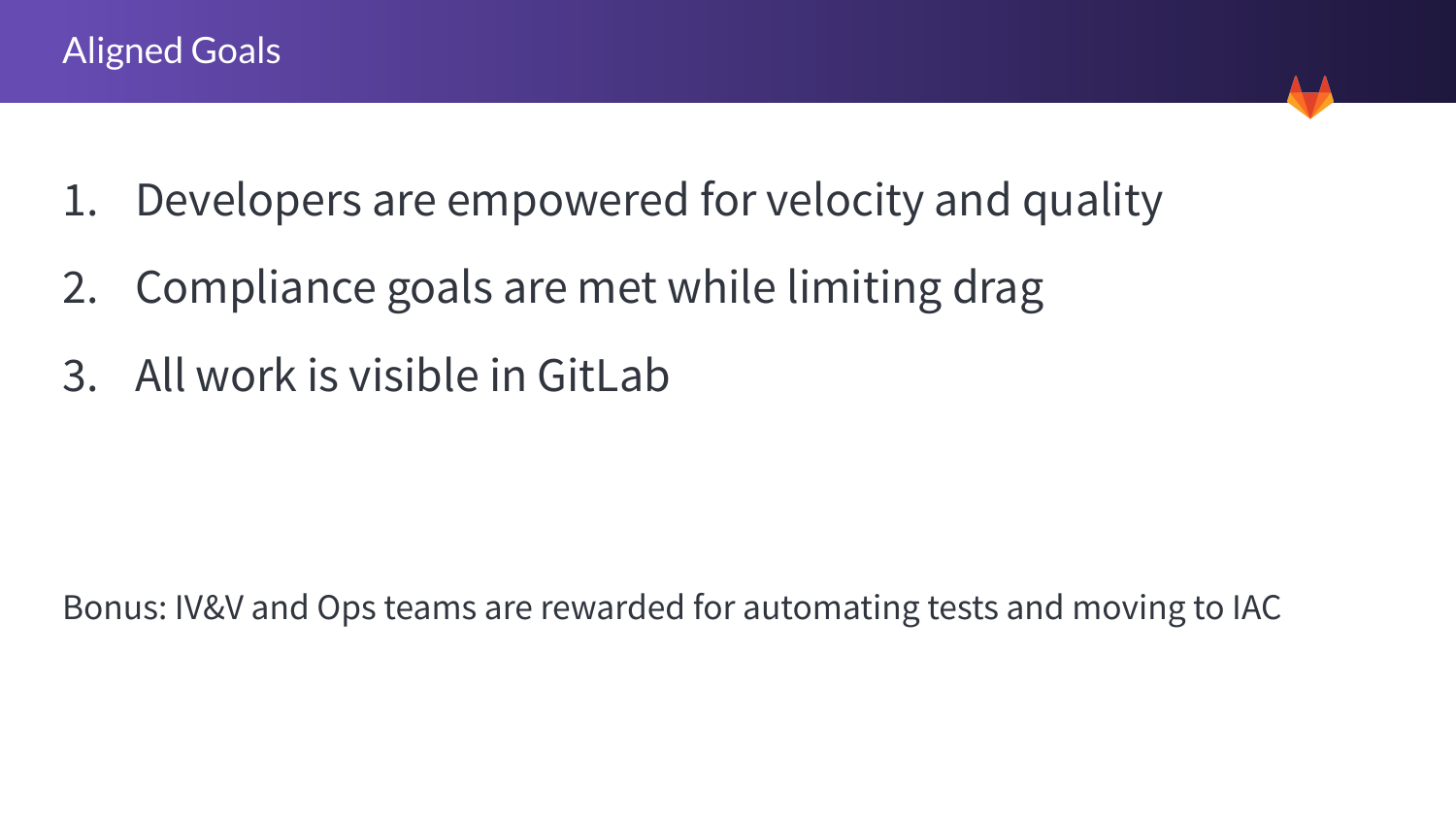- 1. Developers are empowered for velocity and quality
- 2. Compliance goals are met while limiting drag
- 3. All work is visible in GitLab

Bonus: IV&V and Ops teams are rewarded for automating tests and moving to IAC